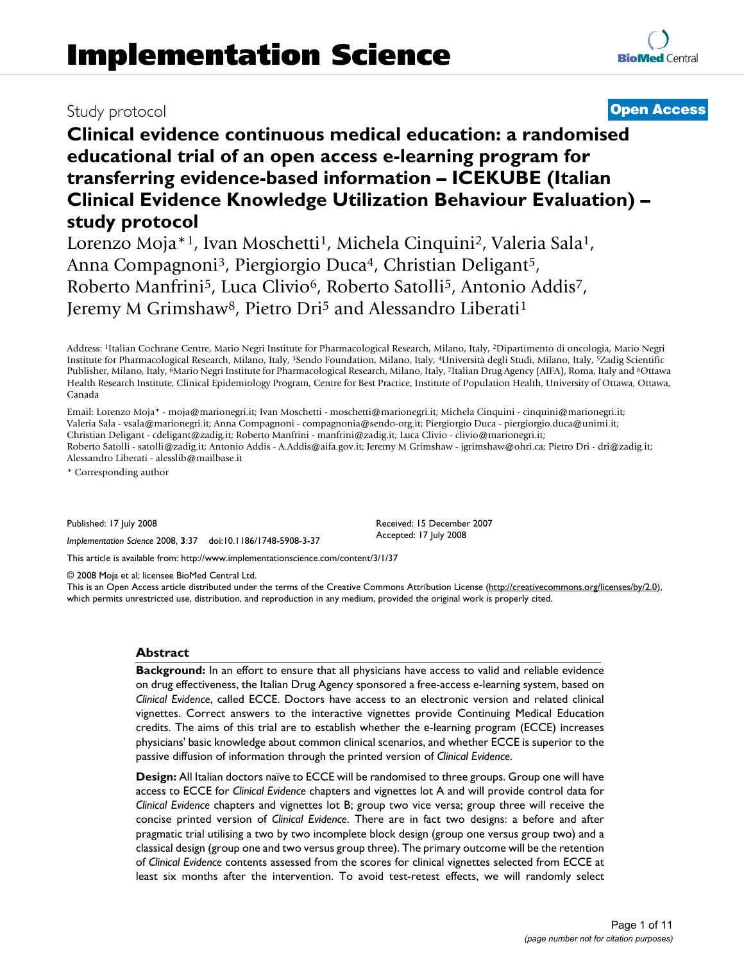**transferring evidence-based information – ICEKUBE (Italian Clinical Evidence Knowledge Utilization Behaviour Evaluation) – study protocol**

Lorenzo Moja\*<sup>1</sup>, Ivan Moschetti<sup>1</sup>, Michela Cinquini<sup>2</sup>, Valeria Sala<sup>1</sup>, Anna Compagnoni<sup>3</sup>, Piergiorgio Duca<sup>4</sup>, Christian Deligant<sup>5</sup>, Roberto Manfrini5, Luca Clivio6, Roberto Satolli5, Antonio Addis7, Jeremy M Grimshaw<sup>8</sup>, Pietro Dri<sup>5</sup> and Alessandro Liberati<sup>1</sup>

Address: 1Italian Cochrane Centre, Mario Negri Institute for Pharmacological Research, Milano, Italy, 2Dipartimento di oncologia, Mario Negri Institute for Pharmacological Research, Milano, Italy, 3Sendo Foundation, Milano, Italy, 4Università degli Studi, Milano, Italy, 5Zadig Scientific Publisher, Milano, Italy, 6Mario Negri Institute for Pharmacological Research, Milano, Italy, 7Italian Drug Agency (AIFA), Roma, Italy and 8Ottawa Health Research Institute, Clinical Epidemiology Program, Centre for Best Practice, Institute of Population Health, University of Ottawa, Ottawa, Canada

Email: Lorenzo Moja\* - moja@marionegri.it; Ivan Moschetti - moschetti@marionegri.it; Michela Cinquini - cinquini@marionegri.it; Valeria Sala - vsala@marionegri.it; Anna Compagnoni - compagnonia@sendo-org.it; Piergiorgio Duca - piergiorgio.duca@unimi.it; Christian Deligant - cdeligant@zadig.it; Roberto Manfrini - manfrini@zadig.it; Luca Clivio - clivio@marionegri.it; Roberto Satolli - satolli@zadig.it; Antonio Addis - A.Addis@aifa.gov.it; Jeremy M Grimshaw - jgrimshaw@ohri.ca; Pietro Dri - dri@zadig.it; Alessandro Liberati - alesslib@mailbase.it

\* Corresponding author

Published: 17 July 2008

*Implementation Science* 2008, **3**:37 doi:10.1186/1748-5908-3-37

[This article is available from: http://www.implementationscience.com/content/3/1/37](http://www.implementationscience.com/content/3/1/37)

© 2008 Moja et al; licensee BioMed Central Ltd.

This is an Open Access article distributed under the terms of the Creative Commons Attribution License [\(http://creativecommons.org/licenses/by/2.0\)](http://creativecommons.org/licenses/by/2.0), which permits unrestricted use, distribution, and reproduction in any medium, provided the original work is properly cited.

Received: 15 December 2007 Accepted: 17 July 2008

## **Abstract**

**Background:** In an effort to ensure that all physicians have access to valid and reliable evidence on drug effectiveness, the Italian Drug Agency sponsored a free-access e-learning system, based on *Clinical Evidence*, called ECCE. Doctors have access to an electronic version and related clinical vignettes. Correct answers to the interactive vignettes provide Continuing Medical Education credits. The aims of this trial are to establish whether the e-learning program (ECCE) increases physicians' basic knowledge about common clinical scenarios, and whether ECCE is superior to the passive diffusion of information through the printed version of *Clinical Evidence*.

**Design:** All Italian doctors naïve to ECCE will be randomised to three groups. Group one will have access to ECCE for *Clinical Evidence* chapters and vignettes lot A and will provide control data for *Clinical Evidence* chapters and vignettes lot B; group two vice versa; group three will receive the concise printed version of *Clinical Evidence*. There are in fact two designs: a before and after pragmatic trial utilising a two by two incomplete block design (group one versus group two) and a classical design (group one and two versus group three). The primary outcome will be the retention of *Clinical Evidence* contents assessed from the scores for clinical vignettes selected from ECCE at least six months after the intervention. To avoid test-retest effects, we will randomly select **[BioMed](http://www.biomedcentral.com/)** Central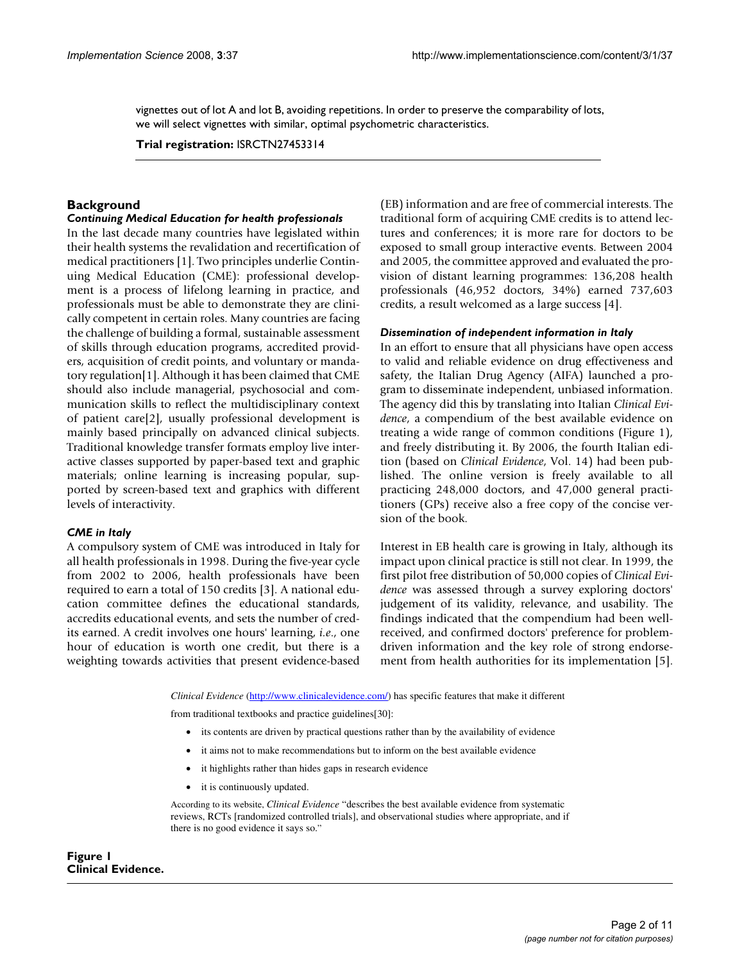vignettes out of lot A and lot B, avoiding repetitions. In order to preserve the comparability of lots, we will select vignettes with similar, optimal psychometric characteristics.

**Trial registration:** ISRCTN27453314

# **Background**

#### *Continuing Medical Education for health professionals*

In the last decade many countries have legislated within their health systems the revalidation and recertification of medical practitioners [1]. Two principles underlie Continuing Medical Education (CME): professional development is a process of lifelong learning in practice, and professionals must be able to demonstrate they are clinically competent in certain roles. Many countries are facing the challenge of building a formal, sustainable assessment of skills through education programs, accredited providers, acquisition of credit points, and voluntary or mandatory regulation[1]. Although it has been claimed that CME should also include managerial, psychosocial and communication skills to reflect the multidisciplinary context of patient care[2], usually professional development is mainly based principally on advanced clinical subjects. Traditional knowledge transfer formats employ live interactive classes supported by paper-based text and graphic materials; online learning is increasing popular, supported by screen-based text and graphics with different levels of interactivity.

## *CME in Italy*

A compulsory system of CME was introduced in Italy for all health professionals in 1998. During the five-year cycle from 2002 to 2006, health professionals have been required to earn a total of 150 credits [3]. A national education committee defines the educational standards, accredits educational events, and sets the number of credits earned. A credit involves one hours' learning, *i.e*., one hour of education is worth one credit, but there is a weighting towards activities that present evidence-based (EB) information and are free of commercial interests. The traditional form of acquiring CME credits is to attend lectures and conferences; it is more rare for doctors to be exposed to small group interactive events. Between 2004 and 2005, the committee approved and evaluated the provision of distant learning programmes: 136,208 health professionals (46,952 doctors, 34%) earned 737,603 credits, a result welcomed as a large success [4].

#### *Dissemination of independent information in Italy*

In an effort to ensure that all physicians have open access to valid and reliable evidence on drug effectiveness and safety, the Italian Drug Agency (AIFA) launched a program to disseminate independent, unbiased information. The agency did this by translating into Italian *Clinical Evidence*, a compendium of the best available evidence on treating a wide range of common conditions (Figure 1), and freely distributing it. By 2006, the fourth Italian edition (based on *Clinical Evidence*, Vol. 14) had been published. The online version is freely available to all practicing 248,000 doctors, and 47,000 general practitioners (GPs) receive also a free copy of the concise version of the book.

Interest in EB health care is growing in Italy, although its impact upon clinical practice is still not clear. In 1999, the first pilot free distribution of 50,000 copies of *Clinical Evidence* was assessed through a survey exploring doctors' judgement of its validity, relevance, and usability. The findings indicated that the compendium had been wellreceived, and confirmed doctors' preference for problemdriven information and the key role of strong endorsement from health authorities for its implementation [5].

*Clinical Evidence* (http://www.clinicalevidence.com/) has specific features that make it different

from traditional textbooks and practice guidelines[30]:

- its contents are driven by practical questions rather than by the availability of evidence
- it aims not to make recommendations but to inform on the best available evidence
- it highlights rather than hides gaps in research evidence
- it is continuously updated.

According to its website, *Clinical Evidence* "describes the best available evidence from systematic reviews, RCTs [randomized controlled trials], and observational studies where appropriate, and if there is no good evidence it says so."

## Figure 1 **Clinical Evidence.**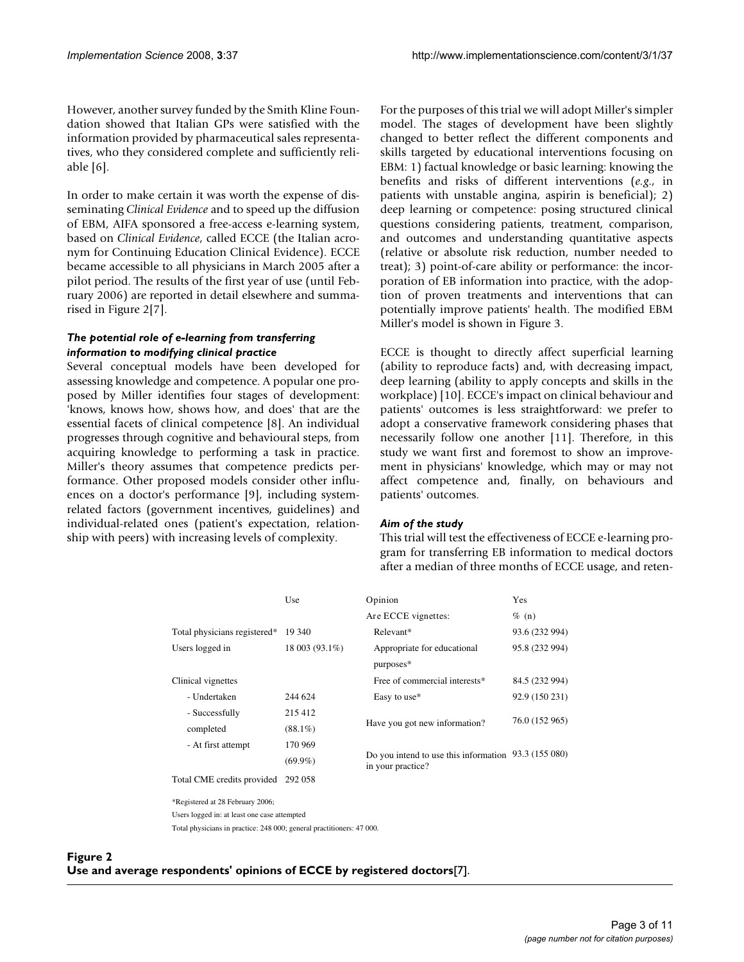However, another survey funded by the Smith Kline Foundation showed that Italian GPs were satisfied with the information provided by pharmaceutical sales representatives, who they considered complete and sufficiently reliable [6].

In order to make certain it was worth the expense of disseminating *Clinical Evidence* and to speed up the diffusion of EBM, AIFA sponsored a free-access e-learning system, based on *Clinical Evidence*, called ECCE (the Italian acronym for Continuing Education Clinical Evidence). ECCE became accessible to all physicians in March 2005 after a pilot period. The results of the first year of use (until February 2006) are reported in detail elsewhere and summarised in Figure 2[7].

#### *The potential role of e-learning from transferring information to modifying clinical practice*

Several conceptual models have been developed for assessing knowledge and competence. A popular one proposed by Miller identifies four stages of development: 'knows, knows how, shows how, and does' that are the essential facets of clinical competence [8]. An individual progresses through cognitive and behavioural steps, from acquiring knowledge to performing a task in practice. Miller's theory assumes that competence predicts performance. Other proposed models consider other influences on a doctor's performance [9], including systemrelated factors (government incentives, guidelines) and individual-related ones (patient's expectation, relationship with peers) with increasing levels of complexity.

For the purposes of this trial we will adopt Miller's simpler model. The stages of development have been slightly changed to better reflect the different components and skills targeted by educational interventions focusing on EBM: 1) factual knowledge or basic learning: knowing the benefits and risks of different interventions (*e.g*., in patients with unstable angina, aspirin is beneficial); 2) deep learning or competence: posing structured clinical questions considering patients, treatment, comparison, and outcomes and understanding quantitative aspects (relative or absolute risk reduction, number needed to treat); 3) point-of-care ability or performance: the incorporation of EB information into practice, with the adoption of proven treatments and interventions that can potentially improve patients' health. The modified EBM Miller's model is shown in Figure 3.

ECCE is thought to directly affect superficial learning (ability to reproduce facts) and, with decreasing impact, deep learning (ability to apply concepts and skills in the workplace) [10]. ECCE's impact on clinical behaviour and patients' outcomes is less straightforward: we prefer to adopt a conservative framework considering phases that necessarily follow one another [11]. Therefore, in this study we want first and foremost to show an improvement in physicians' knowledge, which may or may not affect competence and, finally, on behaviours and patients' outcomes.

#### *Aim of the study*

This trial will test the effectiveness of ECCE e-learning program for transferring EB information to medical doctors after a median of three months of ECCE usage, and reten-

|                                                                                                                                                                                                                                  | Use            | Opinion                                                                   | Yes            |
|----------------------------------------------------------------------------------------------------------------------------------------------------------------------------------------------------------------------------------|----------------|---------------------------------------------------------------------------|----------------|
|                                                                                                                                                                                                                                  |                | Are ECCE vignettes:                                                       | $\%$ (n)       |
| Total physicians registered*                                                                                                                                                                                                     | 19 340         | Relevant*                                                                 | 93.6 (232 994) |
| Users logged in                                                                                                                                                                                                                  | 18 003 (93.1%) | Appropriate for educational                                               | 95.8 (232 994) |
|                                                                                                                                                                                                                                  |                | purposes*                                                                 |                |
| Clinical vignettes                                                                                                                                                                                                               |                | Free of commercial interests*                                             | 84.5 (232 994) |
| - Undertaken                                                                                                                                                                                                                     | 244 624        | Easy to use*                                                              | 92.9 (150 231) |
| - Successfully                                                                                                                                                                                                                   | 215 412        | Have you got new information?                                             | 76.0 (152 965) |
| completed                                                                                                                                                                                                                        | $(88.1\%)$     |                                                                           |                |
| - At first attempt                                                                                                                                                                                                               | 170 969        |                                                                           |                |
|                                                                                                                                                                                                                                  | $(69.9\%)$     | Do you intend to use this information 93.3 (155 080)<br>in your practice? |                |
| Total CME credits provided                                                                                                                                                                                                       | 292 058        |                                                                           |                |
| *Registered at 28 February 2006;                                                                                                                                                                                                 |                |                                                                           |                |
| $\mathbf{v}$ , and the set of the set of the set of the set of the set of the set of the set of the set of the set of the set of the set of the set of the set of the set of the set of the set of the set of the set of the set |                |                                                                           |                |

Users logged in: at least one case attempted

Total physicians in practice: 248 000; general practitioners: 47 000.

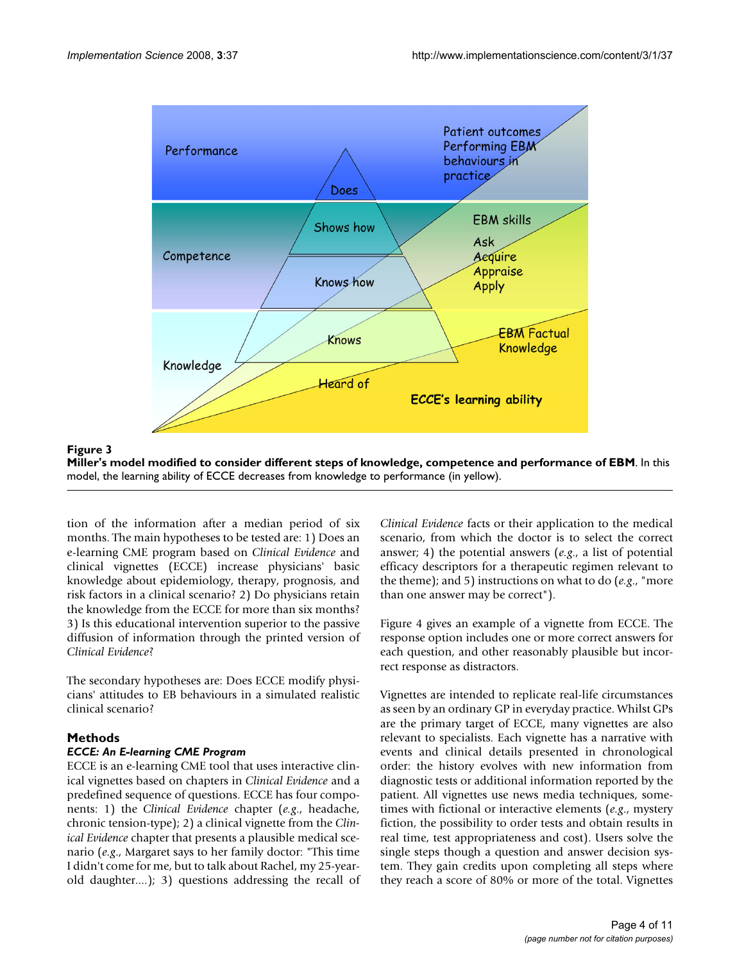

#### Miller's model modified to consider different step **Figure 3** s of knowledge, competence and performance of EBM **Miller's model modified to consider different steps of knowledge, competence and performance of EBM**. In this model, the learning ability of ECCE decreases from knowledge to performance (in yellow).

tion of the information after a median period of six months. The main hypotheses to be tested are: 1) Does an e-learning CME program based on *Clinical Evidence* and clinical vignettes (ECCE) increase physicians' basic knowledge about epidemiology, therapy, prognosis, and risk factors in a clinical scenario? 2) Do physicians retain the knowledge from the ECCE for more than six months? 3) Is this educational intervention superior to the passive diffusion of information through the printed version of *Clinical Evidence*?

The secondary hypotheses are: Does ECCE modify physicians' attitudes to EB behaviours in a simulated realistic clinical scenario?

## **Methods**

## *ECCE: An E-learning CME Program*

ECCE is an e-learning CME tool that uses interactive clinical vignettes based on chapters in *Clinical Evidence* and a predefined sequence of questions. ECCE has four components: 1) the *Clinical Evidence* chapter (*e.g*., headache, chronic tension-type); 2) a clinical vignette from the *Clinical Evidence* chapter that presents a plausible medical scenario (*e.g*., Margaret says to her family doctor: "This time I didn't come for me, but to talk about Rachel, my 25-yearold daughter....); 3) questions addressing the recall of *Clinical Evidence* facts or their application to the medical scenario, from which the doctor is to select the correct answer; 4) the potential answers (*e.g*., a list of potential efficacy descriptors for a therapeutic regimen relevant to the theme); and 5) instructions on what to do (*e.g*., "more than one answer may be correct").

Figure 4 gives an example of a vignette from ECCE. The response option includes one or more correct answers for each question, and other reasonably plausible but incorrect response as distractors.

Vignettes are intended to replicate real-life circumstances as seen by an ordinary GP in everyday practice. Whilst GPs are the primary target of ECCE, many vignettes are also relevant to specialists. Each vignette has a narrative with events and clinical details presented in chronological order: the history evolves with new information from diagnostic tests or additional information reported by the patient. All vignettes use news media techniques, sometimes with fictional or interactive elements (*e.g*., mystery fiction, the possibility to order tests and obtain results in real time, test appropriateness and cost). Users solve the single steps though a question and answer decision system. They gain credits upon completing all steps where they reach a score of 80% or more of the total. Vignettes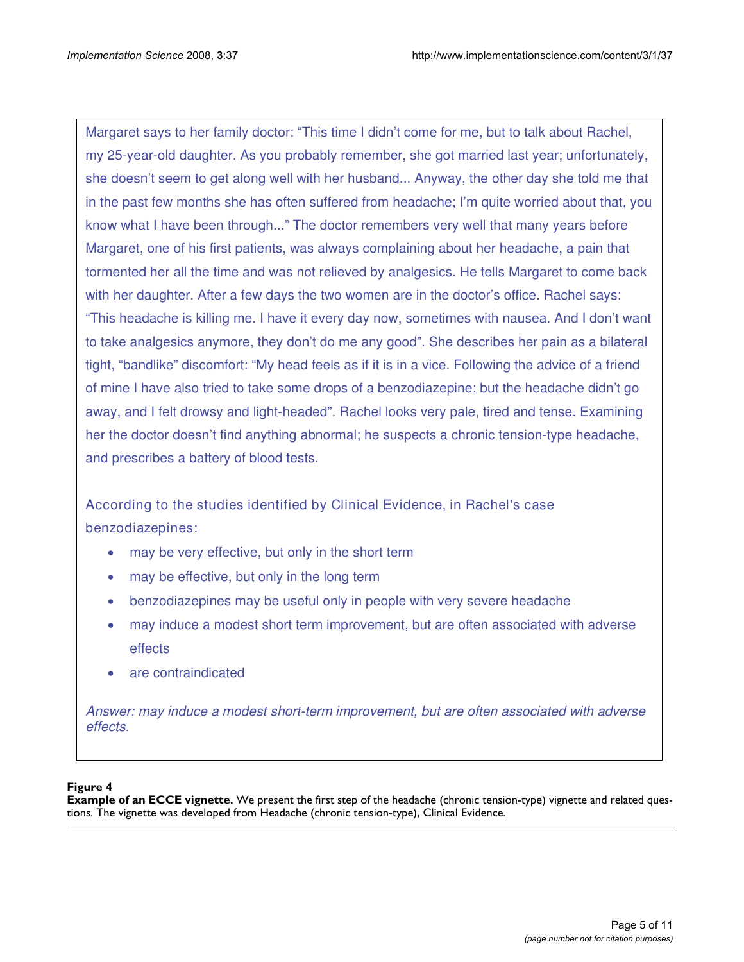Margaret says to her family doctor: "This time I didn't come for me, but to talk about Rachel, my 25-year-old daughter. As you probably remember, she got married last year; unfortunately, she doesn't seem to get along well with her husband... Anyway, the other day she told me that in the past few months she has often suffered from headache; I'm quite worried about that, you know what I have been through..." The doctor remembers very well that many years before Margaret, one of his first patients, was always complaining about her headache, a pain that tormented her all the time and was not relieved by analgesics. He tells Margaret to come back with her daughter. After a few days the two women are in the doctor's office. Rachel says: "This headache is killing me. I have it every day now, sometimes with nausea. And I don't want to take analgesics anymore, they don't do me any good". She describes her pain as a bilateral tight, "bandlike" discomfort: "My head feels as if it is in a vice. Following the advice of a friend of mine I have also tried to take some drops of a benzodiazepine; but the headache didn't go away, and I felt drowsy and light-headed". Rachel looks very pale, tired and tense. Examining her the doctor doesn't find anything abnormal; he suspects a chronic tension-type headache, and prescribes a battery of blood tests.

According to the studies identified by Clinical Evidence, in Rachel's case benzodiazepines:

- may be very effective, but only in the short term
- may be effective, but only in the long term
- benzodiazepines may be useful only in people with very severe headache
- may induce a modest short term improvement, but are often associated with adverse effects
- are contraindicated

Answer: may induce a modest short-term improvement, but are often associated with adverse effects.

## **Figure 4**

**Example of an ECCE vignette.** We present the first step of the headache (chronic tension-type) vignette and related questions. The vignette was developed from Headache (chronic tension-type), Clinical Evidence.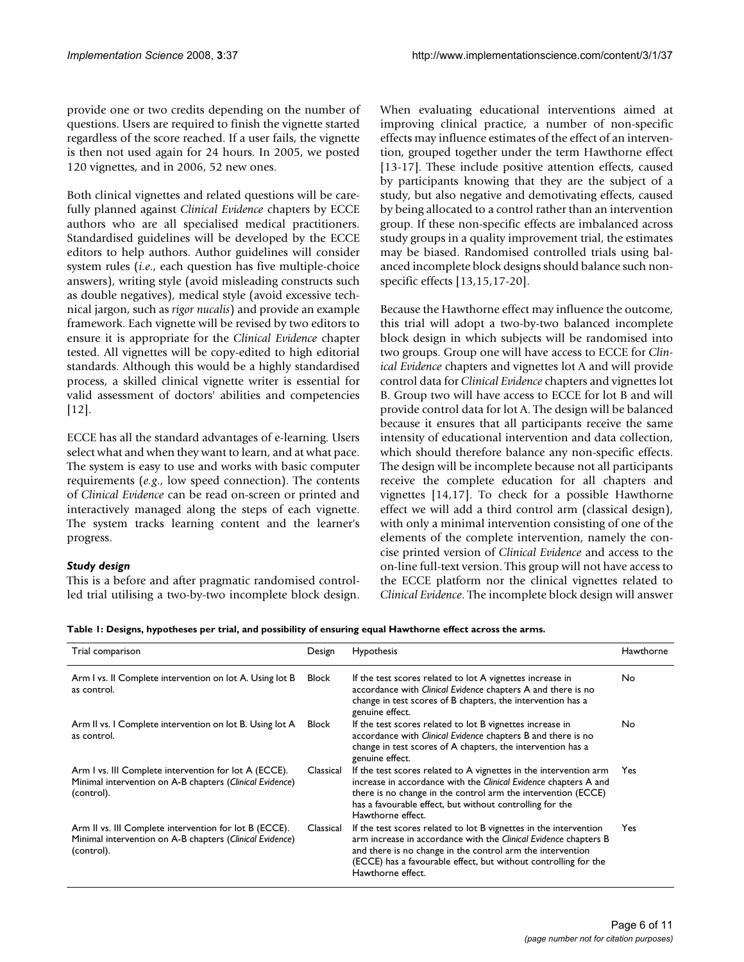provide one or two credits depending on the number of questions. Users are required to finish the vignette started regardless of the score reached. If a user fails, the vignette is then not used again for 24 hours. In 2005, we posted 120 vignettes, and in 2006, 52 new ones.

Both clinical vignettes and related questions will be carefully planned against *Clinical Evidence* chapters by ECCE authors who are all specialised medical practitioners. Standardised guidelines will be developed by the ECCE editors to help authors. Author guidelines will consider system rules (*i.e*., each question has five multiple-choice answers), writing style (avoid misleading constructs such as double negatives), medical style (avoid excessive technical jargon, such as *rigor nucalis*) and provide an example framework. Each vignette will be revised by two editors to ensure it is appropriate for the *Clinical Evidence* chapter tested. All vignettes will be copy-edited to high editorial standards. Although this would be a highly standardised process, a skilled clinical vignette writer is essential for valid assessment of doctors' abilities and competencies [12].

ECCE has all the standard advantages of e-learning. Users select what and when they want to learn, and at what pace. The system is easy to use and works with basic computer requirements (*e.g*., low speed connection). The contents of *Clinical Evidence* can be read on-screen or printed and interactively managed along the steps of each vignette. The system tracks learning content and the learner's progress.

## *Study design*

This is a before and after pragmatic randomised controlled trial utilising a two-by-two incomplete block design. When evaluating educational interventions aimed at improving clinical practice, a number of non-specific effects may influence estimates of the effect of an intervention, grouped together under the term Hawthorne effect [13-17]. These include positive attention effects, caused by participants knowing that they are the subject of a study, but also negative and demotivating effects, caused by being allocated to a control rather than an intervention group. If these non-specific effects are imbalanced across study groups in a quality improvement trial, the estimates may be biased. Randomised controlled trials using balanced incomplete block designs should balance such nonspecific effects [13,15,17-20].

Because the Hawthorne effect may influence the outcome, this trial will adopt a two-by-two balanced incomplete block design in which subjects will be randomised into two groups. Group one will have access to ECCE for *Clinical Evidence* chapters and vignettes lot A and will provide control data for *Clinical Evidence* chapters and vignettes lot B. Group two will have access to ECCE for lot B and will provide control data for lot A. The design will be balanced because it ensures that all participants receive the same intensity of educational intervention and data collection, which should therefore balance any non-specific effects. The design will be incomplete because not all participants receive the complete education for all chapters and vignettes [14,17]. To check for a possible Hawthorne effect we will add a third control arm (classical design), with only a minimal intervention consisting of one of the elements of the complete intervention, namely the concise printed version of *Clinical Evidence* and access to the on-line full-text version. This group will not have access to the ECCE platform nor the clinical vignettes related to *Clinical Evidence*. The incomplete block design will answer

**Table 1: Designs, hypotheses per trial, and possibility of ensuring equal Hawthorne effect across the arms.**

| Trial comparison                                                                                                                 | Design    | Hypothesis                                                                                                                                                                                                                                                                                  | Hawthorne |
|----------------------------------------------------------------------------------------------------------------------------------|-----------|---------------------------------------------------------------------------------------------------------------------------------------------------------------------------------------------------------------------------------------------------------------------------------------------|-----------|
| Arm I vs. II Complete intervention on lot A. Using lot B<br>as control.                                                          | Block     | If the test scores related to lot A vignettes increase in<br>accordance with Clinical Evidence chapters A and there is no<br>change in test scores of B chapters, the intervention has a<br>genuine effect.                                                                                 | No.       |
| Arm II vs. I Complete intervention on lot B. Using lot A<br>as control.                                                          | Block     | If the test scores related to lot B vignettes increase in<br>accordance with Clinical Evidence chapters B and there is no<br>change in test scores of A chapters, the intervention has a<br>genuine effect.                                                                                 | No.       |
| Arm I vs. III Complete intervention for lot A (ECCE).<br>Minimal intervention on A-B chapters (Clinical Evidence)<br>(control).  | Classical | If the test scores related to A vignettes in the intervention arm<br>increase in accordance with the Clinical Evidence chapters A and<br>there is no change in the control arm the intervention (ECCE)<br>has a favourable effect, but without controlling for the<br>Hawthorne effect.     | Yes       |
| Arm II vs. III Complete intervention for lot B (ECCE).<br>Minimal intervention on A-B chapters (Clinical Evidence)<br>(control). | Classical | If the test scores related to lot B vignettes in the intervention<br>arm increase in accordance with the Clinical Evidence chapters B<br>and there is no change in the control arm the intervention<br>(ECCE) has a favourable effect, but without controlling for the<br>Hawthorne effect. | Yes.      |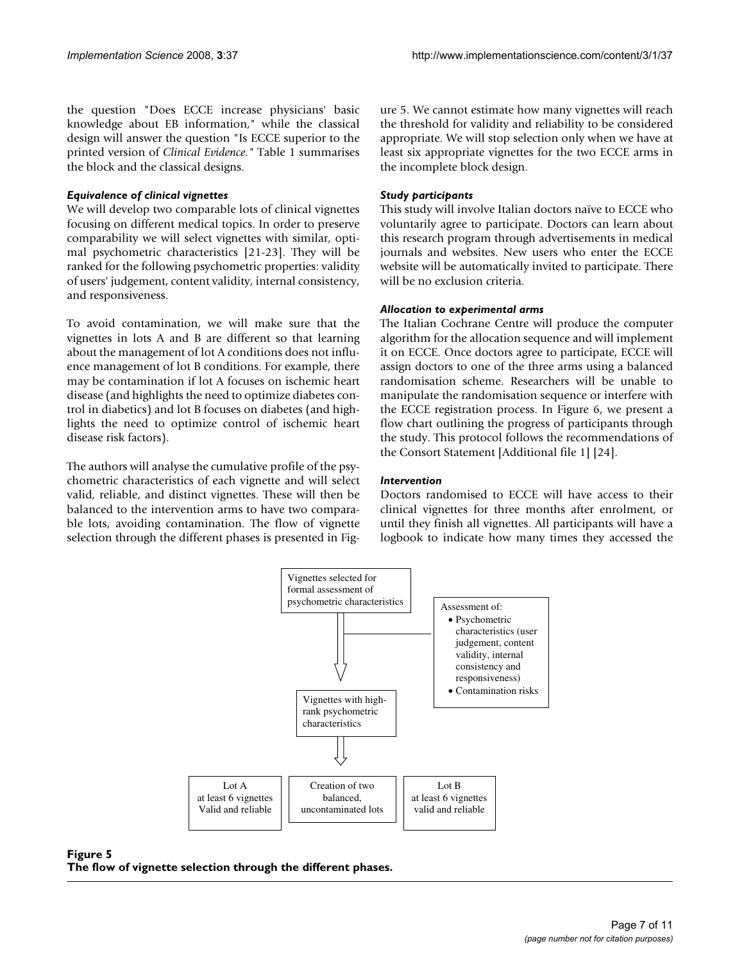the question "Does ECCE increase physicians' basic knowledge about EB information," while the classical design will answer the question "Is ECCE superior to the printed version of *Clinical Evidence."* Table 1 summarises the block and the classical designs.

#### *Equivalence of clinical vignettes*

We will develop two comparable lots of clinical vignettes focusing on different medical topics. In order to preserve comparability we will select vignettes with similar, optimal psychometric characteristics [21-23]. They will be ranked for the following psychometric properties: validity of users' judgement, content validity, internal consistency, and responsiveness.

To avoid contamination, we will make sure that the vignettes in lots A and B are different so that learning about the management of lot A conditions does not influence management of lot B conditions. For example, there may be contamination if lot A focuses on ischemic heart disease (and highlights the need to optimize diabetes control in diabetics) and lot B focuses on diabetes (and highlights the need to optimize control of ischemic heart disease risk factors).

The authors will analyse the cumulative profile of the psychometric characteristics of each vignette and will select valid, reliable, and distinct vignettes. These will then be balanced to the intervention arms to have two comparable lots, avoiding contamination. The flow of vignette selection through the different phases is presented in Figure 5. We cannot estimate how many vignettes will reach the threshold for validity and reliability to be considered appropriate. We will stop selection only when we have at least six appropriate vignettes for the two ECCE arms in the incomplete block design.

#### *Study participants*

This study will involve Italian doctors naïve to ECCE who voluntarily agree to participate. Doctors can learn about this research program through advertisements in medical journals and websites. New users who enter the ECCE website will be automatically invited to participate. There will be no exclusion criteria.

#### *Allocation to experimental arms*

The Italian Cochrane Centre will produce the computer algorithm for the allocation sequence and will implement it on ECCE. Once doctors agree to participate, ECCE will assign doctors to one of the three arms using a balanced randomisation scheme. Researchers will be unable to manipulate the randomisation sequence or interfere with the ECCE registration process. In Figure 6, we present a flow chart outlining the progress of participants through the study. This protocol follows the recommendations of the Consort Statement [Additional file 1] [24].

#### *Intervention*

Doctors randomised to ECCE will have access to their clinical vignettes for three months after enrolment, or until they finish all vignettes. All participants will have a logbook to indicate how many times they accessed the



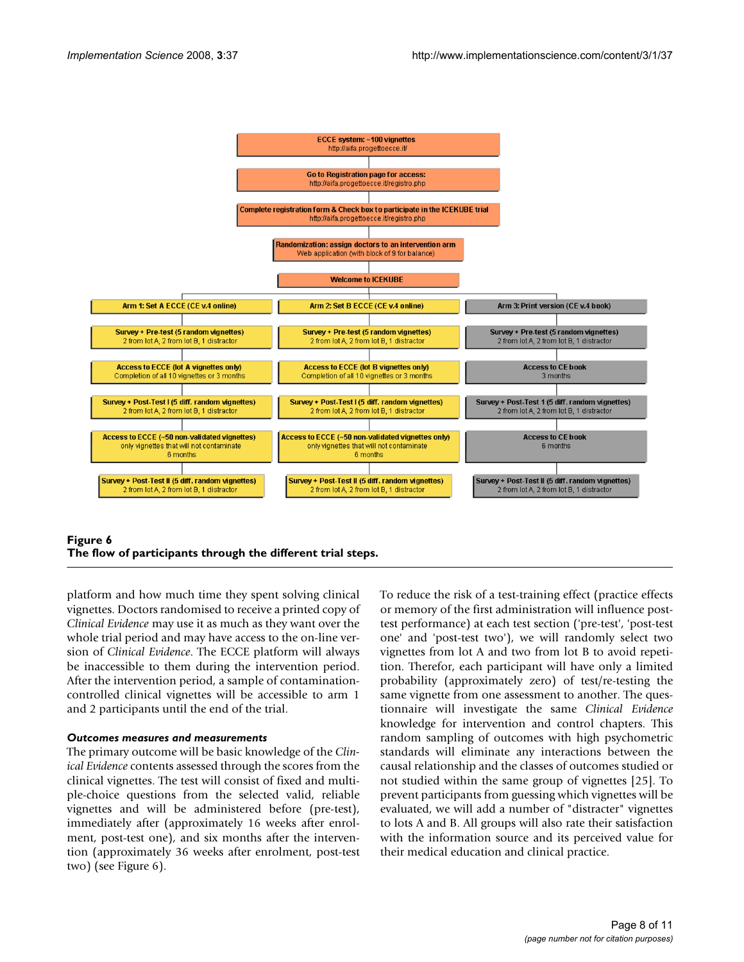

## Figure 6 **The flow of participants through the different trial steps.**

platform and how much time they spent solving clinical vignettes. Doctors randomised to receive a printed copy of *Clinical Evidence* may use it as much as they want over the whole trial period and may have access to the on-line version of *Clinical Evidence*. The ECCE platform will always be inaccessible to them during the intervention period. After the intervention period, a sample of contaminationcontrolled clinical vignettes will be accessible to arm 1 and 2 participants until the end of the trial.

## *Outcomes measures and measurements*

The primary outcome will be basic knowledge of the *Clinical Evidence* contents assessed through the scores from the clinical vignettes. The test will consist of fixed and multiple-choice questions from the selected valid, reliable vignettes and will be administered before (pre-test), immediately after (approximately 16 weeks after enrolment, post-test one), and six months after the intervention (approximately 36 weeks after enrolment, post-test two) (see Figure 6).

To reduce the risk of a test-training effect (practice effects or memory of the first administration will influence posttest performance) at each test section ('pre-test', 'post-test one' and 'post-test two'), we will randomly select two vignettes from lot A and two from lot B to avoid repetition. Therefor, each participant will have only a limited probability (approximately zero) of test/re-testing the same vignette from one assessment to another. The questionnaire will investigate the same *Clinical Evidence* knowledge for intervention and control chapters. This random sampling of outcomes with high psychometric standards will eliminate any interactions between the causal relationship and the classes of outcomes studied or not studied within the same group of vignettes [25]. To prevent participants from guessing which vignettes will be evaluated, we will add a number of "distracter" vignettes to lots A and B. All groups will also rate their satisfaction with the information source and its perceived value for their medical education and clinical practice.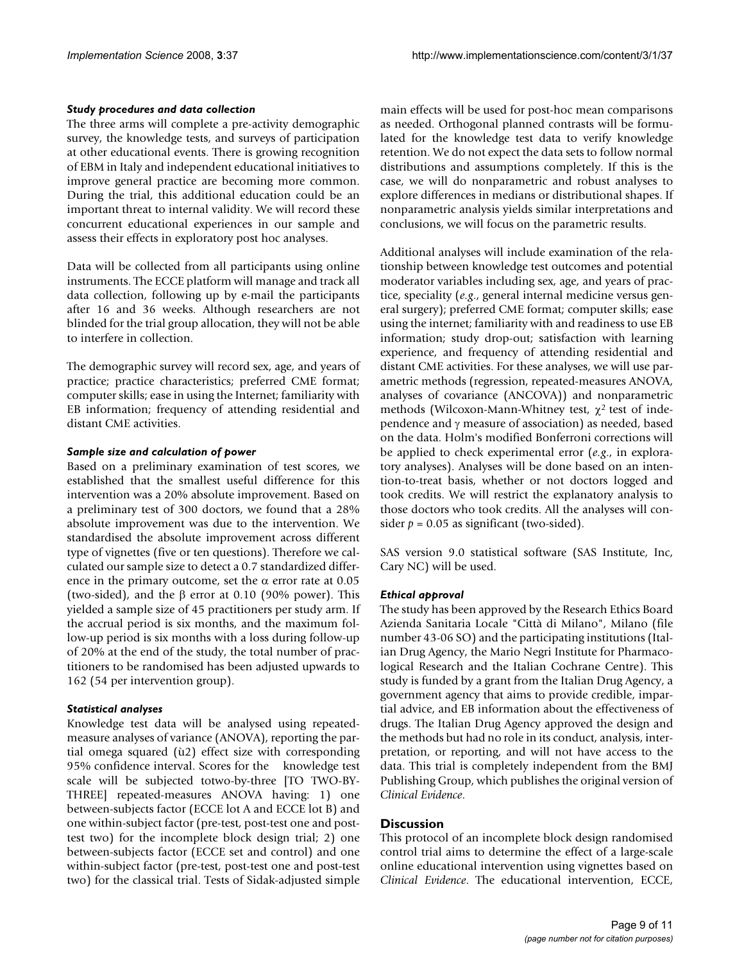#### *Study procedures and data collection*

The three arms will complete a pre-activity demographic survey, the knowledge tests, and surveys of participation at other educational events. There is growing recognition of EBM in Italy and independent educational initiatives to improve general practice are becoming more common. During the trial, this additional education could be an important threat to internal validity. We will record these concurrent educational experiences in our sample and assess their effects in exploratory post hoc analyses.

Data will be collected from all participants using online instruments. The ECCE platform will manage and track all data collection, following up by e-mail the participants after 16 and 36 weeks. Although researchers are not blinded for the trial group allocation, they will not be able to interfere in collection.

The demographic survey will record sex, age, and years of practice; practice characteristics; preferred CME format; computer skills; ease in using the Internet; familiarity with EB information; frequency of attending residential and distant CME activities.

#### *Sample size and calculation of power*

Based on a preliminary examination of test scores, we established that the smallest useful difference for this intervention was a 20% absolute improvement. Based on a preliminary test of 300 doctors, we found that a 28% absolute improvement was due to the intervention. We standardised the absolute improvement across different type of vignettes (five or ten questions). Therefore we calculated our sample size to detect a 0.7 standardized difference in the primary outcome, set the  $\alpha$  error rate at 0.05 (two-sided), and the β error at 0.10 (90% power). This yielded a sample size of 45 practitioners per study arm. If the accrual period is six months, and the maximum follow-up period is six months with a loss during follow-up of 20% at the end of the study, the total number of practitioners to be randomised has been adjusted upwards to 162 (54 per intervention group).

#### *Statistical analyses*

Knowledge test data will be analysed using repeatedmeasure analyses of variance (ANOVA), reporting the partial omega squared (ù2) effect size with corresponding 95% confidence interval. Scores for the knowledge test scale will be subjected totwo-by-three [TO TWO-BY-THREE] repeated-measures ANOVA having: 1) one between-subjects factor (ECCE lot A and ECCE lot B) and one within-subject factor (pre-test, post-test one and posttest two) for the incomplete block design trial; 2) one between-subjects factor (ECCE set and control) and one within-subject factor (pre-test, post-test one and post-test two) for the classical trial. Tests of Sidak-adjusted simple main effects will be used for post-hoc mean comparisons as needed. Orthogonal planned contrasts will be formulated for the knowledge test data to verify knowledge retention. We do not expect the data sets to follow normal distributions and assumptions completely. If this is the case, we will do nonparametric and robust analyses to explore differences in medians or distributional shapes. If nonparametric analysis yields similar interpretations and conclusions, we will focus on the parametric results.

Additional analyses will include examination of the relationship between knowledge test outcomes and potential moderator variables including sex, age, and years of practice, speciality (*e.g*., general internal medicine versus general surgery); preferred CME format; computer skills; ease using the internet; familiarity with and readiness to use EB information; study drop-out; satisfaction with learning experience, and frequency of attending residential and distant CME activities. For these analyses, we will use parametric methods (regression, repeated-measures ANOVA, analyses of covariance (ANCOVA)) and nonparametric methods (Wilcoxon-Mann-Whitney test,  $\chi^2$  test of independence and γ measure of association) as needed, based on the data. Holm's modified Bonferroni corrections will be applied to check experimental error (*e.g*., in exploratory analyses). Analyses will be done based on an intention-to-treat basis, whether or not doctors logged and took credits. We will restrict the explanatory analysis to those doctors who took credits. All the analyses will consider  $p = 0.05$  as significant (two-sided).

SAS version 9.0 statistical software (SAS Institute, Inc, Cary NC) will be used.

#### *Ethical approval*

The study has been approved by the Research Ethics Board Azienda Sanitaria Locale "Città di Milano", Milano (file number 43-06 SO) and the participating institutions (Italian Drug Agency, the Mario Negri Institute for Pharmacological Research and the Italian Cochrane Centre). This study is funded by a grant from the Italian Drug Agency, a government agency that aims to provide credible, impartial advice, and EB information about the effectiveness of drugs. The Italian Drug Agency approved the design and the methods but had no role in its conduct, analysis, interpretation, or reporting, and will not have access to the data. This trial is completely independent from the BMJ Publishing Group, which publishes the original version of *Clinical Evidence*.

#### **Discussion**

This protocol of an incomplete block design randomised control trial aims to determine the effect of a large-scale online educational intervention using vignettes based on *Clinical Evidence*. The educational intervention, ECCE,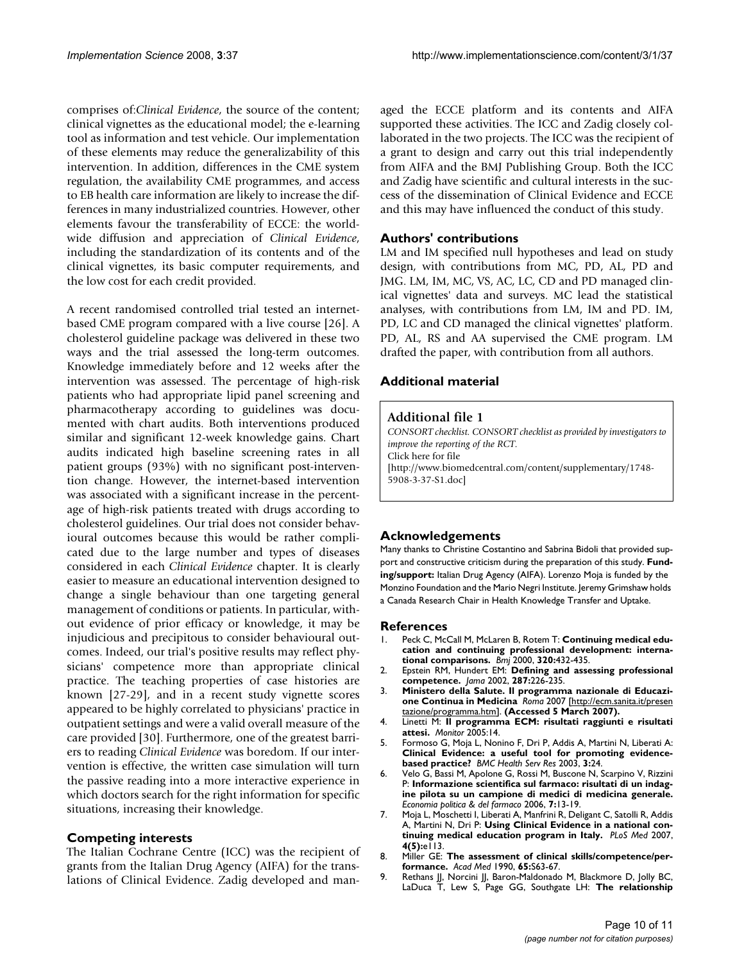comprises of:*Clinical Evidence*, the source of the content; clinical vignettes as the educational model; the e-learning tool as information and test vehicle. Our implementation of these elements may reduce the generalizability of this intervention. In addition, differences in the CME system regulation, the availability CME programmes, and access to EB health care information are likely to increase the differences in many industrialized countries. However, other elements favour the transferability of ECCE: the worldwide diffusion and appreciation of *Clinical Evidence*, including the standardization of its contents and of the clinical vignettes, its basic computer requirements, and the low cost for each credit provided.

A recent randomised controlled trial tested an internetbased CME program compared with a live course [26]. A cholesterol guideline package was delivered in these two ways and the trial assessed the long-term outcomes. Knowledge immediately before and 12 weeks after the intervention was assessed. The percentage of high-risk patients who had appropriate lipid panel screening and pharmacotherapy according to guidelines was documented with chart audits. Both interventions produced similar and significant 12-week knowledge gains. Chart audits indicated high baseline screening rates in all patient groups (93%) with no significant post-intervention change. However, the internet-based intervention was associated with a significant increase in the percentage of high-risk patients treated with drugs according to cholesterol guidelines. Our trial does not consider behavioural outcomes because this would be rather complicated due to the large number and types of diseases considered in each *Clinical Evidence* chapter. It is clearly easier to measure an educational intervention designed to change a single behaviour than one targeting general management of conditions or patients. In particular, without evidence of prior efficacy or knowledge, it may be injudicious and precipitous to consider behavioural outcomes. Indeed, our trial's positive results may reflect physicians' competence more than appropriate clinical practice. The teaching properties of case histories are known [27-29], and in a recent study vignette scores appeared to be highly correlated to physicians' practice in outpatient settings and were a valid overall measure of the care provided [30]. Furthermore, one of the greatest barriers to reading *Clinical Evidence* was boredom. If our intervention is effective, the written case simulation will turn the passive reading into a more interactive experience in which doctors search for the right information for specific situations, increasing their knowledge.

## **Competing interests**

The Italian Cochrane Centre (ICC) was the recipient of grants from the Italian Drug Agency (AIFA) for the translations of Clinical Evidence. Zadig developed and managed the ECCE platform and its contents and AIFA supported these activities. The ICC and Zadig closely collaborated in the two projects. The ICC was the recipient of a grant to design and carry out this trial independently from AIFA and the BMJ Publishing Group. Both the ICC and Zadig have scientific and cultural interests in the success of the dissemination of Clinical Evidence and ECCE and this may have influenced the conduct of this study.

# **Authors' contributions**

LM and IM specified null hypotheses and lead on study design, with contributions from MC, PD, AL, PD and JMG. LM, IM, MC, VS, AC, LC, CD and PD managed clinical vignettes' data and surveys. MC lead the statistical analyses, with contributions from LM, IM and PD. IM, PD, LC and CD managed the clinical vignettes' platform. PD, AL, RS and AA supervised the CME program. LM drafted the paper, with contribution from all authors.

# **Additional material**

#### **Additional file 1**

*CONSORT checklist. CONSORT checklist as provided by investigators to improve the reporting of the RCT.* Click here for file [\[http://www.biomedcentral.com/content/supplementary/1748-](http://www.biomedcentral.com/content/supplementary/1748-5908-3-37-S1.doc) 5908-3-37-S1.doc]

## **Acknowledgements**

Many thanks to Christine Costantino and Sabrina Bidoli that provided support and constructive criticism during the preparation of this study. **Funding/support:** Italian Drug Agency (AIFA). Lorenzo Moja is funded by the Monzino Foundation and the Mario Negri Institute. Jeremy Grimshaw holds a Canada Research Chair in Health Knowledge Transfer and Uptake.

#### **References**

- Peck C, McCall M, McLaren B, Rotem T: **[Continuing medical edu](http://www.ncbi.nlm.nih.gov/entrez/query.fcgi?cmd=Retrieve&db=PubMed&dopt=Abstract&list_uids=10669451)[cation and continuing professional development: interna](http://www.ncbi.nlm.nih.gov/entrez/query.fcgi?cmd=Retrieve&db=PubMed&dopt=Abstract&list_uids=10669451)[tional comparisons.](http://www.ncbi.nlm.nih.gov/entrez/query.fcgi?cmd=Retrieve&db=PubMed&dopt=Abstract&list_uids=10669451)** *Bmj* 2000, **320:**432-435.
- 2. Epstein RM, Hundert EM: **[Defining and assessing professional](http://www.ncbi.nlm.nih.gov/entrez/query.fcgi?cmd=Retrieve&db=PubMed&dopt=Abstract&list_uids=11779266) [competence.](http://www.ncbi.nlm.nih.gov/entrez/query.fcgi?cmd=Retrieve&db=PubMed&dopt=Abstract&list_uids=11779266)** *Jama* 2002, **287:**226-235.
- 3. **Ministero della Salute. Il programma nazionale di Educazione Continua in Medicina** *Roma* 2007 [[http://ecm.sanita.it/presen](http://ecm.sanita.it/presentazione/programma.htm) [tazione/programma.htm\]](http://ecm.sanita.it/presentazione/programma.htm). **(Accessed 5 March 2007).**
- 4. Linetti M: **Il programma ECM: risultati raggiunti e risultati attesi.** *Monitor* 2005:14.
- 5. Formoso G, Moja L, Nonino F, Dri P, Addis A, Martini N, Liberati A: **[Clinical Evidence: a useful tool for promoting evidence](http://www.ncbi.nlm.nih.gov/entrez/query.fcgi?cmd=Retrieve&db=PubMed&dopt=Abstract&list_uids=14693035)[based practice?](http://www.ncbi.nlm.nih.gov/entrez/query.fcgi?cmd=Retrieve&db=PubMed&dopt=Abstract&list_uids=14693035)** *BMC Health Serv Res* 2003, **3:**24.
- 6. Velo G, Bassi M, Apolone G, Rossi M, Buscone N, Scarpino V, Rizzini P: **Informazione scientifica sul farmaco: risultati di un indagine pilota su un campione di medici di medicina generale.** *Economia politica & del farmaco* 2006, **7:**13-19.
- 7. Moja L, Moschetti I, Liberati A, Manfrini R, Deligant C, Satolli R, Addis A, Martini N, Dri P: **[Using Clinical Evidence in a national con](http://www.ncbi.nlm.nih.gov/entrez/query.fcgi?cmd=Retrieve&db=PubMed&dopt=Abstract&list_uids=17518512)[tinuing medical education program in Italy.](http://www.ncbi.nlm.nih.gov/entrez/query.fcgi?cmd=Retrieve&db=PubMed&dopt=Abstract&list_uids=17518512)** *PLoS Med* 2007, **4(5):**e113.
- 8. Miller GE: **[The assessment of clinical skills/competence/per](http://www.ncbi.nlm.nih.gov/entrez/query.fcgi?cmd=Retrieve&db=PubMed&dopt=Abstract&list_uids=2400509)[formance.](http://www.ncbi.nlm.nih.gov/entrez/query.fcgi?cmd=Retrieve&db=PubMed&dopt=Abstract&list_uids=2400509)** *Acad Med* 1990, **65:**S63-67.
- 9. Rethans JJ, Norcini JJ, Baron-Maldonado M, Blackmore D, Jolly BC, LaDuca T, Lew S, Page GG, Southgate LH: **[The relationship](http://www.ncbi.nlm.nih.gov/entrez/query.fcgi?cmd=Retrieve&db=PubMed&dopt=Abstract&list_uids=12390456)**